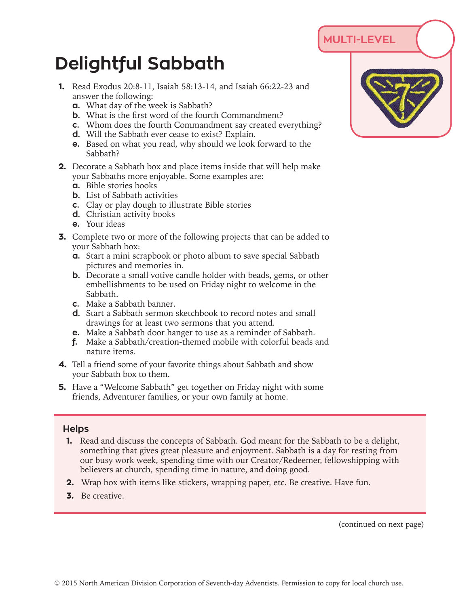## **MULTI-LEVEL**

## **Delightful Sabbath**

- **1.** Read Exodus 20:8-11, Isaiah 58:13-14, and Isaiah 66:22-23 and answer the following:
	- **a.** What day of the week is Sabbath?
	- **b.** What is the first word of the fourth Commandment?
	- **c.** Whom does the fourth Commandment say created everything?
	- **d.** Will the Sabbath ever cease to exist? Explain.
	- **e.** Based on what you read, why should we look forward to the Sabbath?
- **2.** Decorate a Sabbath box and place items inside that will help make your Sabbaths more enjoyable. Some examples are:
	- **a.** Bible stories books
	- **b.** List of Sabbath activities
	- **c.** Clay or play dough to illustrate Bible stories
	- **d.** Christian activity books
	- **e.** Your ideas
- **3.** Complete two or more of the following projects that can be added to your Sabbath box:
	- **a.** Start a mini scrapbook or photo album to save special Sabbath pictures and memories in.
	- **b.** Decorate a small votive candle holder with beads, gems, or other embellishments to be used on Friday night to welcome in the Sabbath.
	- **c.** Make a Sabbath banner.
	- **d.** Start a Sabbath sermon sketchbook to record notes and small drawings for at least two sermons that you attend.
	- **e.** Make a Sabbath door hanger to use as a reminder of Sabbath.
	- **f.** Make a Sabbath/creation-themed mobile with colorful beads and nature items.
- **4.** Tell a friend some of your favorite things about Sabbath and show your Sabbath box to them.
- **5.** Have a "Welcome Sabbath" get together on Friday night with some friends, Adventurer families, or your own family at home.

## **Helps**

- **1.** Read and discuss the concepts of Sabbath. God meant for the Sabbath to be a delight, something that gives great pleasure and enjoyment. Sabbath is a day for resting from our busy work week, spending time with our Creator/Redeemer, fellowshipping with believers at church, spending time in nature, and doing good.
- **2.** Wrap box with items like stickers, wrapping paper, etc. Be creative. Have fun.
- **3.** Be creative.

(continued on next page)